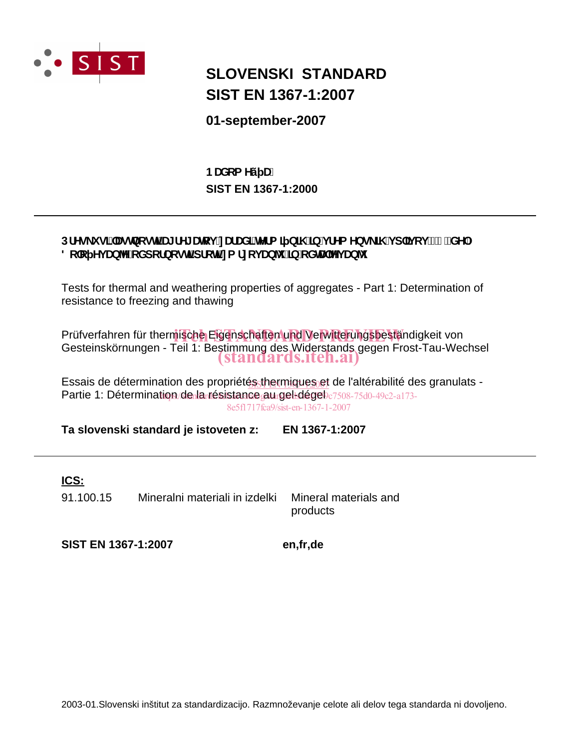

## **SLOVENSKI STANDARD SIST EN 1367-1:2007**

**01-september-2007**

**SIST EN 1367-1:2000 BUXca Yv U.** 

## DfYg\_i g]"Ughbcgh**]'U[fY[Urcj 'nUfUX]'hYfa ] b]\ ']b'jfYa Ybg\_]\ 'j d']j cj '!'%"XY.** 8c'c Yj Ub<sup>o</sup>Y'c Xdcfbcgh dfch in a fncj Ub<sup>1</sup> in cXhU<sup>ov</sup>j Ub<sup>1</sup>

Tests for thermal and weathering properties of aggregates - Part 1: Determination of resistance to freezing and thawing

Prüfverfahren für thermische Eigenschaften und Verwitterungsbeständigkeit von<br>Osetsinaliämungen Erikte Bestimmung des Widentende namn Erest Tau Wes Gesteinskörnungen - Teil 1: Bestimmung des Widerstands gegen Frost-Tau-Wechsel (standards.iteh.ai)

Essais de détermination des propriété<u>s<sub>s</sub>thermiques<sub>0</sub>et</u> de l'altérabilité des granulats -Partie 1: Détermination/de la résistance au gel-dégel c7508-75d0-49c2-a173-8e5f1717fca9/sist-en-1367-1-2007

**Ta slovenski standard je istoveten z: EN 1367-1:2007**

### **ICS:**

91.100.15 Mineralni materiali in izdelki Mineral materials and

products

**SIST EN 1367-1:2007 en,fr,de**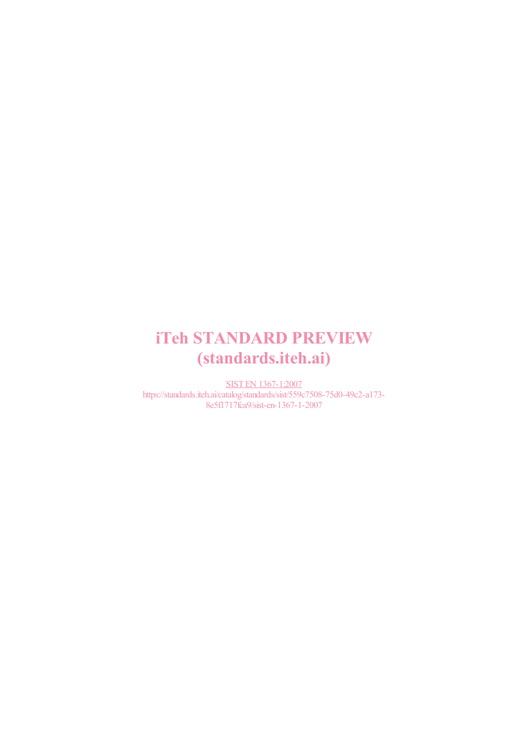# iTeh STANDARD PREVIEW (standards.iteh.ai)

SIST EN 1367-1:2007 https://standards.iteh.ai/catalog/standards/sist/559c7508-75d0-49c2-a173- 8e5f1717fca9/sist-en-1367-1-2007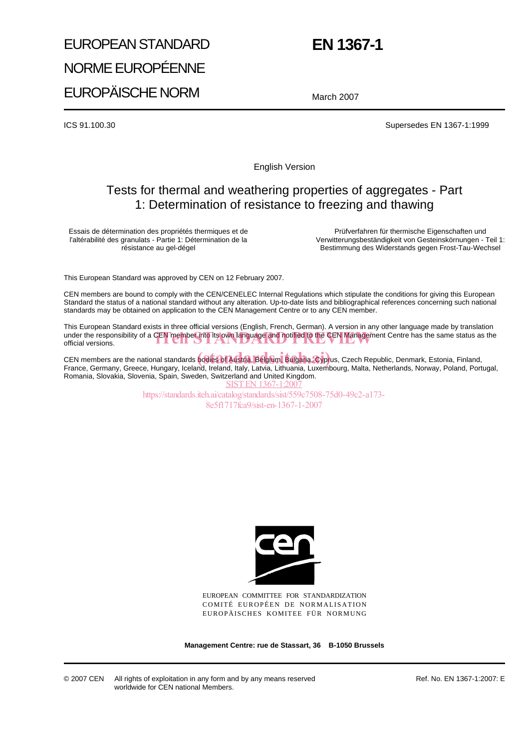# EUROPEAN STANDARD NORME EUROPÉENNE EUROPÄISCHE NORM

## **EN 1367-1**

March 2007

ICS 91.100.30 Supersedes EN 1367-1:1999

English Version

## Tests for thermal and weathering properties of aggregates - Part 1: Determination of resistance to freezing and thawing

Essais de détermination des propriétés thermiques et de l'altérabilité des granulats - Partie 1: Détermination de la résistance au gel-dégel

Prüfverfahren für thermische Eigenschaften und Verwitterungsbeständigkeit von Gesteinskörnungen - Teil 1: Bestimmung des Widerstands gegen Frost-Tau-Wechsel

This European Standard was approved by CEN on 12 February 2007.

CEN members are bound to comply with the CEN/CENELEC Internal Regulations which stipulate the conditions for giving this European Standard the status of a national standard without any alteration. Up-to-date lists and bibliographical references concerning such national standards may be obtained on application to the CEN Management Centre or to any CEN member.

This European Standard exists in three official versions (English, French, German). A version in any other language made by translation under the responsibility of a CEN member into its own language and notified to the CEN Management Centre has the same status as the official versions. official versions.

CEN members are the national standards **bodies of Austria, Belgium, Bulgaria, Cypr**us, Czech Republic, Denmark, Estonia, Finland,<br>Ernese Cerneny, Creese, Hungery, Jeeland, Ireland, Irely, Letric, Lithuania, Lyxembeurg, Mel France, Germany, Greece, Hungary, Iceland, Ireland, Italy, Latvia, Lithuania, Luxembourg, Malta, Netherlands, Norway, Poland, Portugal, Romania, Slovakia, Slovenia, Spain, Sweden, Switzerland and United Kingdom. SIST EN 1367-1:200

> https://standards.iteh.ai/catalog/standards/sist/559c7508-75d0-49c2-a173- 8e5f1717fca9/sist-en-1367-1-2007



EUROPEAN COMMITTEE FOR STANDARDIZATION COMITÉ EUROPÉEN DE NORMALISATION EUROPÄISCHES KOMITEE FÜR NORMUNG

**Management Centre: rue de Stassart, 36 B-1050 Brussels**

Ref. No. EN 1367-1:2007: E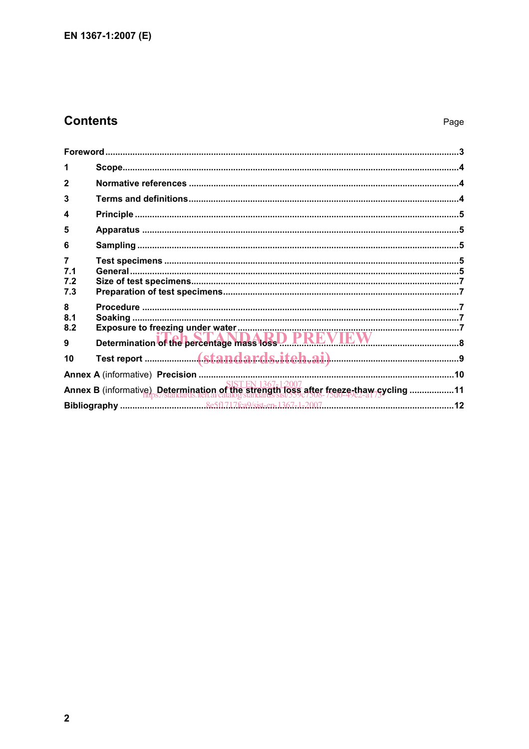## **Contents**

| 1                                                                                     |                                                     |  |  |
|---------------------------------------------------------------------------------------|-----------------------------------------------------|--|--|
|                                                                                       |                                                     |  |  |
| 3                                                                                     |                                                     |  |  |
| 4                                                                                     |                                                     |  |  |
| 5                                                                                     |                                                     |  |  |
| 6                                                                                     |                                                     |  |  |
| $\overline{7}$                                                                        |                                                     |  |  |
| 7.1<br>7.2                                                                            |                                                     |  |  |
| 7.3                                                                                   |                                                     |  |  |
| 8                                                                                     |                                                     |  |  |
| 8.1                                                                                   |                                                     |  |  |
| 8.2<br>9                                                                              | Determination of the percentage mass loss D PREVIEW |  |  |
| 10                                                                                    |                                                     |  |  |
|                                                                                       |                                                     |  |  |
| Annex B (informative) Determination of the strength loss after freeze-thaw-cycling 11 |                                                     |  |  |
|                                                                                       |                                                     |  |  |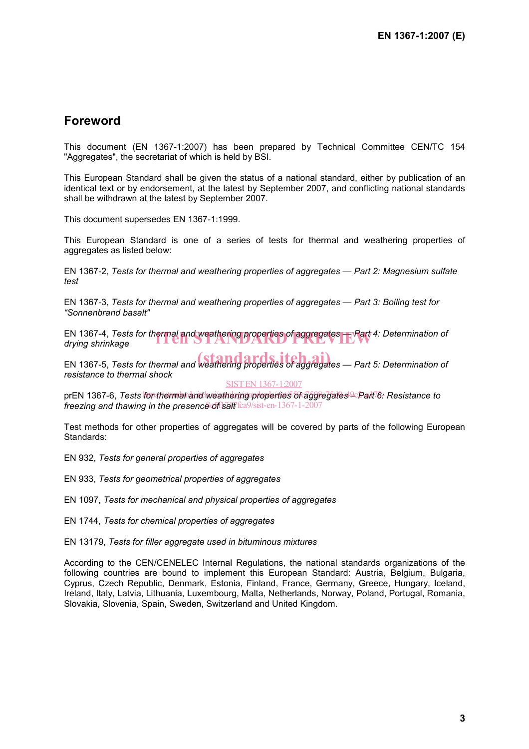## **Foreword**

This document (EN 1367-1:2007) has been prepared by Technical Committee CEN/TC 154 "Aggregates", the secretariat of which is held by BSI.

This European Standard shall be given the status of a national standard, either by publication of an identical text or by endorsement, at the latest by September 2007, and conflicting national standards shall be withdrawn at the latest by September 2007.

This document supersedes EN 1367-1:1999.

This European Standard is one of a series of tests for thermal and weathering properties of aggregates as listed below:

EN 1367-2, *Tests for thermal and weathering properties of aggregates — Part 2: Magnesium sulfate test*

EN 1367-3, *Tests for thermal and weathering properties of aggregates — Part 3: Boiling test for "Sonnenbrand basalt"*

EN 1367-4, *Tests for thermal and weathering properties of aggregates — Part 4: Determination of <i>drying shrinkage drying shrinkage*

EN 1367-5, *Tests for thermal and weathering properties of aggregates — Part 5: Determination of resistance to thermal shock* 

SIST EN 1367-1:2007

prEN 1367-6, *Tests for thermal and weathering properties of aggregates<sup>ig</sup> Part 6: Resistance to* **freezing and thawing in the presence of sall f** tca9/sist-en-1367-1-2007

Test methods for other properties of aggregates will be covered by parts of the following European Standards:

EN 932, *Tests for general properties of aggregates*

EN 933, *Tests for geometrical properties of aggregates*

EN 1097, *Tests for mechanical and physical properties of aggregates*

EN 1744, *Tests for chemical properties of aggregates*

EN 13179, *Tests for filler aggregate used in bituminous mixtures*

According to the CEN/CENELEC Internal Regulations, the national standards organizations of the following countries are bound to implement this European Standard: Austria, Belgium, Bulgaria, Cyprus, Czech Republic, Denmark, Estonia, Finland, France, Germany, Greece, Hungary, Iceland, Ireland, Italy, Latvia, Lithuania, Luxembourg, Malta, Netherlands, Norway, Poland, Portugal, Romania, Slovakia, Slovenia, Spain, Sweden, Switzerland and United Kingdom.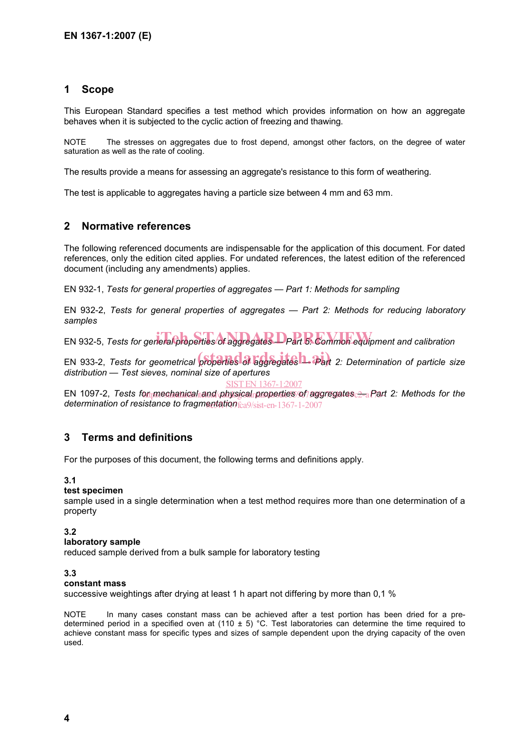#### **1 Scope**

This European Standard specifies a test method which provides information on how an aggregate behaves when it is subjected to the cyclic action of freezing and thawing.

NOTE The stresses on aggregates due to frost depend, amongst other factors, on the degree of water saturation as well as the rate of cooling.

The results provide a means for assessing an aggregate's resistance to this form of weathering.

The test is applicable to aggregates having a particle size between 4 mm and 63 mm.

#### **2 Normative references**

The following referenced documents are indispensable for the application of this document. For dated references, only the edition cited applies. For undated references, the latest edition of the referenced document (including any amendments) applies.

EN 932-1, *Tests for general properties of aggregates — Part 1: Methods for sampling*

EN 932-2, *Tests for general properties of aggregates — Part 2: Methods for reducing laboratory samples*

EN 932-5, *Tests for general properties of aggregates* D Part 5: Common equipment and calibration

EN 933-2, *Tests for geometrical properties* of aggregates **1. Part** 2: Determination of particle size *distribution — Test sieves, nominal size of apertures*

SIST EN 1367-1:2007

EN 1097-2, Tests for mechanical tand/physical properties of aggregates <del>2 a</del>Part 2: Methods for the **determination of resistance to fragmentation** fca9/sist-en-1367-1-2007

#### **3 Terms and definitions**

For the purposes of this document, the following terms and definitions apply.

#### **3.1**

#### **test specimen**

sample used in a single determination when a test method requires more than one determination of a property

#### **3.2**

#### **laboratory sample**

reduced sample derived from a bulk sample for laboratory testing

#### **3.3**

#### **constant mass**

successive weightings after drying at least 1 h apart not differing by more than 0,1 %

NOTE In many cases constant mass can be achieved after a test portion has been dried for a predetermined period in a specified oven at (110  $\pm$  5) °C. Test laboratories can determine the time required to achieve constant mass for specific types and sizes of sample dependent upon the drying capacity of the oven used.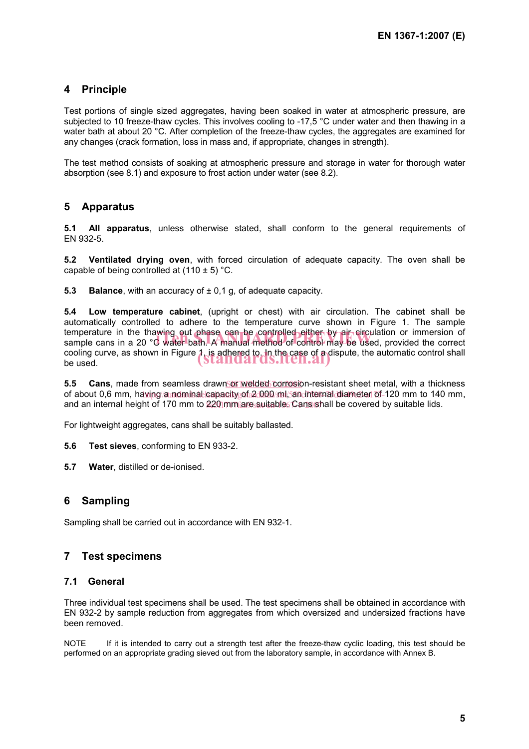### **4 Principle**

Test portions of single sized aggregates, having been soaked in water at atmospheric pressure, are subjected to 10 freeze-thaw cycles. This involves cooling to -17,5 °C under water and then thawing in a water bath at about 20 °C. After completion of the freeze-thaw cycles, the aggregates are examined for any changes (crack formation, loss in mass and, if appropriate, changes in strength).

The test method consists of soaking at atmospheric pressure and storage in water for thorough water absorption (see 8.1) and exposure to frost action under water (see 8.2).

#### **5 Apparatus**

**5.1 All apparatus**, unless otherwise stated, shall conform to the general requirements of EN 932-5.

**5.2 Ventilated drying oven**, with forced circulation of adequate capacity. The oven shall be capable of being controlled at  $(110 \pm 5)$  °C.

**5.3 Balance**, with an accuracy of  $\pm$  0,1 g, of adequate capacity.

**5.4 Low temperature cabinet**, (upright or chest) with air circulation. The cabinet shall be automatically controlled to adhere to the temperature curve shown in Figure 1. The sample temperature in the thawing out phase can be controlled either by air circulation or immersion of temperature in the thawing out phase can be controlled either by air circulation or immersion of<br>sample cans in a 20 °C water bath. A manual method of control may be used, provided the correct cooling curve, as shown in Figure 1, is adhered to, In the case of a dispute, the automatic control shall be used. be used.

5.5 Cans, made from seamless drawn**or welded corrosion-resistant sheet metal**, with a thickness of about 0,6 mm, havipg/a nominal capacity of 2 000/ml/5an internal diameter of 120 mm to 140 mm, and an internal height of 170 mm to 220 mm are suitable. Cans shall be covered by suitable lids.

For lightweight aggregates, cans shall be suitably ballasted.

**5.6 Test sieves**, conforming to EN 933-2.

**5.7 Water**, distilled or de-ionised.

#### **6 Sampling**

Sampling shall be carried out in accordance with EN 932-1.

#### **7 Test specimens**

#### **7.1 General**

Three individual test specimens shall be used. The test specimens shall be obtained in accordance with EN 932-2 by sample reduction from aggregates from which oversized and undersized fractions have been removed.

NOTE If it is intended to carry out a strength test after the freeze-thaw cyclic loading, this test should be performed on an appropriate grading sieved out from the laboratory sample, in accordance with Annex B.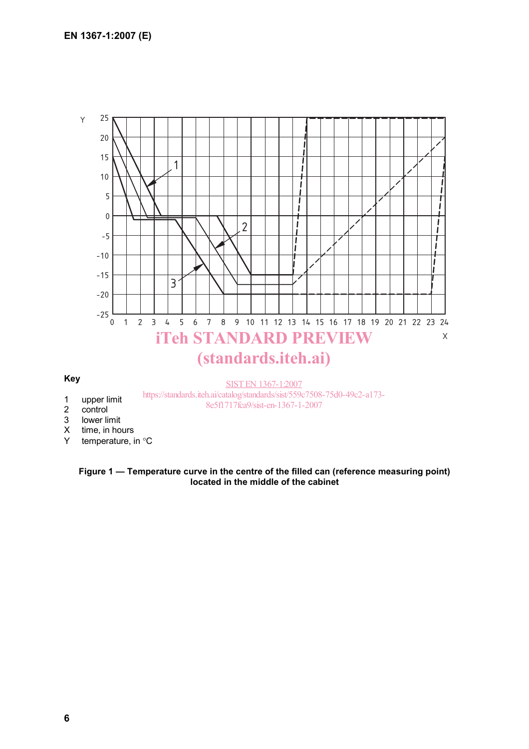

- 2 control
- 3 lower limit
- X time, in hours
- Y temperature, in °C

#### **Figure 1 — Temperature curve in the centre of the filled can (reference measuring point) located in the middle of the cabinet**